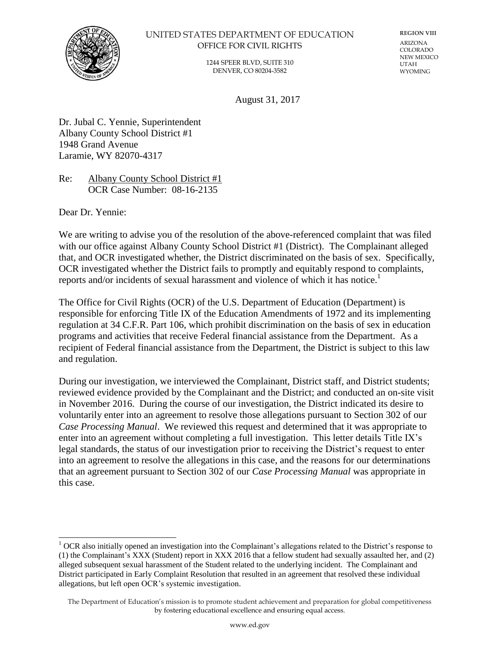

#### UNITED STATES DEPARTMENT OF EDUCATION OFFICE FOR CIVIL RIGHTS

1244 SPEER BLVD, SUITE 310 DENVER, CO 80204-3582

**REGION VIII** ARIZONA COLORADO NEW MEXICO UTAH WYOMING

August 31, 2017

Dr. Jubal C. Yennie, Superintendent Albany County School District #1 1948 Grand Avenue Laramie, WY 82070-4317

Re: Albany County School District #1 OCR Case Number: 08-16-2135

Dear Dr. Yennie:

We are writing to advise you of the resolution of the above-referenced complaint that was filed with our office against Albany County School District #1 (District). The Complainant alleged that, and OCR investigated whether, the District discriminated on the basis of sex. Specifically, OCR investigated whether the District fails to promptly and equitably respond to complaints, reports and/or incidents of sexual harassment and violence of which it has notice.<sup>1</sup>

The Office for Civil Rights (OCR) of the U.S. Department of Education (Department) is responsible for enforcing Title IX of the Education Amendments of 1972 and its implementing regulation at 34 C.F.R. Part 106, which prohibit discrimination on the basis of sex in education programs and activities that receive Federal financial assistance from the Department. As a recipient of Federal financial assistance from the Department, the District is subject to this law and regulation.

During our investigation, we interviewed the Complainant, District staff, and District students; reviewed evidence provided by the Complainant and the District; and conducted an on-site visit in November 2016. During the course of our investigation, the District indicated its desire to voluntarily enter into an agreement to resolve those allegations pursuant to Section 302 of our *Case Processing Manual*. We reviewed this request and determined that it was appropriate to enter into an agreement without completing a full investigation. This letter details Title IX's legal standards, the status of our investigation prior to receiving the District's request to enter into an agreement to resolve the allegations in this case, and the reasons for our determinations that an agreement pursuant to Section 302 of our *Case Processing Manual* was appropriate in this case.

l <sup>1</sup> OCR also initially opened an investigation into the Complainant's allegations related to the District's response to (1) the Complainant's XXX (Student) report in XXX 2016 that a fellow student had sexually assaulted her, and (2) alleged subsequent sexual harassment of the Student related to the underlying incident. The Complainant and District participated in Early Complaint Resolution that resulted in an agreement that resolved these individual allegations, but left open OCR's systemic investigation.

The Department of Education's mission is to promote student achievement and preparation for global competitiveness by fostering educational excellence and ensuring equal access.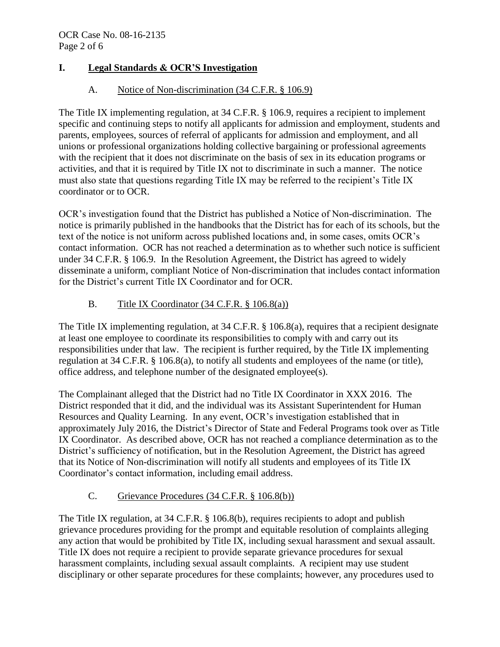# **I. Legal Standards & OCR'S Investigation**

# A. Notice of Non-discrimination (34 C.F.R. § 106.9)

The Title IX implementing regulation, at 34 C.F.R. § 106.9, requires a recipient to implement specific and continuing steps to notify all applicants for admission and employment, students and parents, employees, sources of referral of applicants for admission and employment, and all unions or professional organizations holding collective bargaining or professional agreements with the recipient that it does not discriminate on the basis of sex in its education programs or activities, and that it is required by Title IX not to discriminate in such a manner. The notice must also state that questions regarding Title IX may be referred to the recipient's Title IX coordinator or to OCR.

OCR's investigation found that the District has published a Notice of Non-discrimination. The notice is primarily published in the handbooks that the District has for each of its schools, but the text of the notice is not uniform across published locations and, in some cases, omits OCR's contact information. OCR has not reached a determination as to whether such notice is sufficient under 34 C.F.R. § 106.9. In the Resolution Agreement, the District has agreed to widely disseminate a uniform, compliant Notice of Non-discrimination that includes contact information for the District's current Title IX Coordinator and for OCR.

# B. Title IX Coordinator  $(34 \text{ C.F.R.} \S 106.8(a))$

The Title IX implementing regulation, at 34 C.F.R. § 106.8(a), requires that a recipient designate at least one employee to coordinate its responsibilities to comply with and carry out its responsibilities under that law. The recipient is further required, by the Title IX implementing regulation at 34 C.F.R. § 106.8(a), to notify all students and employees of the name (or title), office address, and telephone number of the designated employee(s).

The Complainant alleged that the District had no Title IX Coordinator in XXX 2016. The District responded that it did, and the individual was its Assistant Superintendent for Human Resources and Quality Learning. In any event, OCR's investigation established that in approximately July 2016, the District's Director of State and Federal Programs took over as Title IX Coordinator. As described above, OCR has not reached a compliance determination as to the District's sufficiency of notification, but in the Resolution Agreement, the District has agreed that its Notice of Non-discrimination will notify all students and employees of its Title IX Coordinator's contact information, including email address.

# C. Grievance Procedures (34 C.F.R. § 106.8(b))

The Title IX regulation, at 34 C.F.R. § 106.8(b), requires recipients to adopt and publish grievance procedures providing for the prompt and equitable resolution of complaints alleging any action that would be prohibited by Title IX, including sexual harassment and sexual assault. Title IX does not require a recipient to provide separate grievance procedures for sexual harassment complaints, including sexual assault complaints. A recipient may use student disciplinary or other separate procedures for these complaints; however, any procedures used to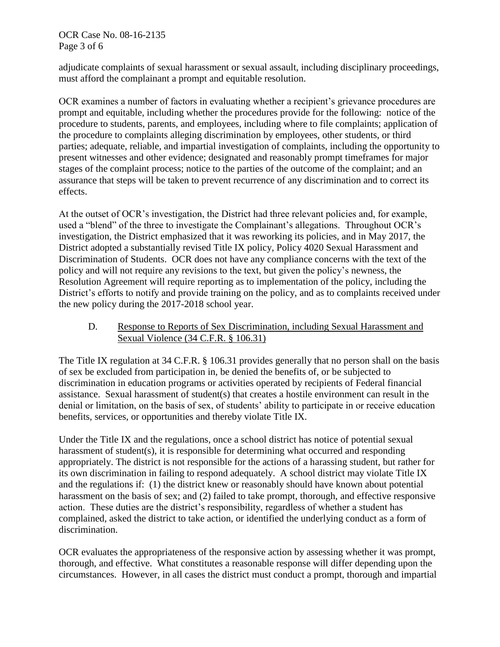OCR Case No. 08-16-2135 Page 3 of 6

adjudicate complaints of sexual harassment or sexual assault, including disciplinary proceedings, must afford the complainant a prompt and equitable resolution.

OCR examines a number of factors in evaluating whether a recipient's grievance procedures are prompt and equitable, including whether the procedures provide for the following: notice of the procedure to students, parents, and employees, including where to file complaints; application of the procedure to complaints alleging discrimination by employees, other students, or third parties; adequate, reliable, and impartial investigation of complaints, including the opportunity to present witnesses and other evidence; designated and reasonably prompt timeframes for major stages of the complaint process; notice to the parties of the outcome of the complaint; and an assurance that steps will be taken to prevent recurrence of any discrimination and to correct its effects.

At the outset of OCR's investigation, the District had three relevant policies and, for example, used a "blend" of the three to investigate the Complainant's allegations. Throughout OCR's investigation, the District emphasized that it was reworking its policies, and in May 2017, the District adopted a substantially revised Title IX policy, Policy 4020 Sexual Harassment and Discrimination of Students. OCR does not have any compliance concerns with the text of the policy and will not require any revisions to the text, but given the policy's newness, the Resolution Agreement will require reporting as to implementation of the policy, including the District's efforts to notify and provide training on the policy, and as to complaints received under the new policy during the 2017-2018 school year.

D. Response to Reports of Sex Discrimination, including Sexual Harassment and Sexual Violence (34 C.F.R. § 106.31)

The Title IX regulation at 34 C.F.R. § 106.31 provides generally that no person shall on the basis of sex be excluded from participation in, be denied the benefits of, or be subjected to discrimination in education programs or activities operated by recipients of Federal financial assistance. Sexual harassment of student(s) that creates a hostile environment can result in the denial or limitation, on the basis of sex, of students' ability to participate in or receive education benefits, services, or opportunities and thereby violate Title IX.

Under the Title IX and the regulations, once a school district has notice of potential sexual harassment of student(s), it is responsible for determining what occurred and responding appropriately. The district is not responsible for the actions of a harassing student, but rather for its own discrimination in failing to respond adequately. A school district may violate Title IX and the regulations if: (1) the district knew or reasonably should have known about potential harassment on the basis of sex; and (2) failed to take prompt, thorough, and effective responsive action. These duties are the district's responsibility, regardless of whether a student has complained, asked the district to take action, or identified the underlying conduct as a form of discrimination.

OCR evaluates the appropriateness of the responsive action by assessing whether it was prompt, thorough, and effective. What constitutes a reasonable response will differ depending upon the circumstances. However, in all cases the district must conduct a prompt, thorough and impartial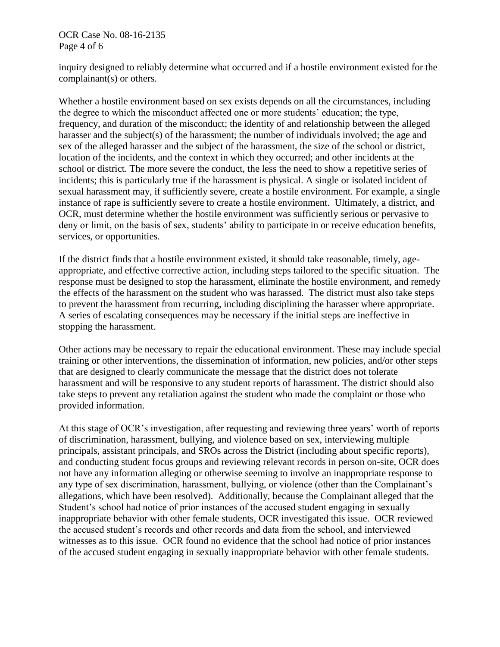### OCR Case No. 08-16-2135 Page 4 of 6

inquiry designed to reliably determine what occurred and if a hostile environment existed for the complainant(s) or others.

Whether a hostile environment based on sex exists depends on all the circumstances, including the degree to which the misconduct affected one or more students' education; the type, frequency, and duration of the misconduct; the identity of and relationship between the alleged harasser and the subject(s) of the harassment; the number of individuals involved; the age and sex of the alleged harasser and the subject of the harassment, the size of the school or district, location of the incidents, and the context in which they occurred; and other incidents at the school or district. The more severe the conduct, the less the need to show a repetitive series of incidents; this is particularly true if the harassment is physical. A single or isolated incident of sexual harassment may, if sufficiently severe, create a hostile environment. For example, a single instance of rape is sufficiently severe to create a hostile environment. Ultimately, a district, and OCR, must determine whether the hostile environment was sufficiently serious or pervasive to deny or limit, on the basis of sex, students' ability to participate in or receive education benefits, services, or opportunities.

If the district finds that a hostile environment existed, it should take reasonable, timely, ageappropriate, and effective corrective action, including steps tailored to the specific situation. The response must be designed to stop the harassment, eliminate the hostile environment, and remedy the effects of the harassment on the student who was harassed. The district must also take steps to prevent the harassment from recurring, including disciplining the harasser where appropriate. A series of escalating consequences may be necessary if the initial steps are ineffective in stopping the harassment.

Other actions may be necessary to repair the educational environment. These may include special training or other interventions, the dissemination of information, new policies, and/or other steps that are designed to clearly communicate the message that the district does not tolerate harassment and will be responsive to any student reports of harassment. The district should also take steps to prevent any retaliation against the student who made the complaint or those who provided information.

At this stage of OCR's investigation, after requesting and reviewing three years' worth of reports of discrimination, harassment, bullying, and violence based on sex, interviewing multiple principals, assistant principals, and SROs across the District (including about specific reports), and conducting student focus groups and reviewing relevant records in person on-site, OCR does not have any information alleging or otherwise seeming to involve an inappropriate response to any type of sex discrimination, harassment, bullying, or violence (other than the Complainant's allegations, which have been resolved). Additionally, because the Complainant alleged that the Student's school had notice of prior instances of the accused student engaging in sexually inappropriate behavior with other female students, OCR investigated this issue. OCR reviewed the accused student's records and other records and data from the school, and interviewed witnesses as to this issue. OCR found no evidence that the school had notice of prior instances of the accused student engaging in sexually inappropriate behavior with other female students.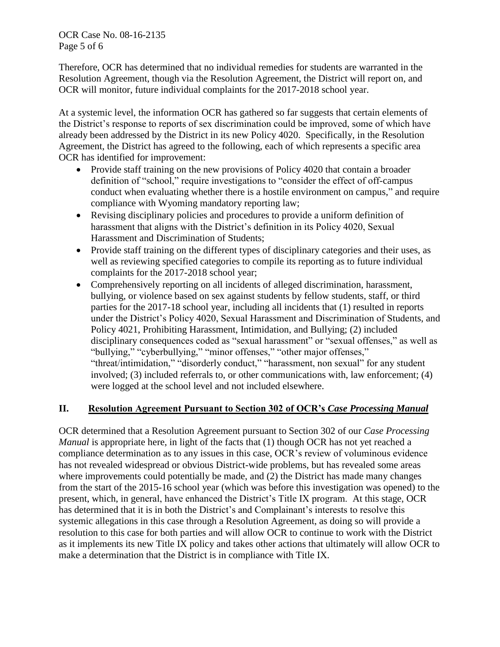OCR Case No. 08-16-2135 Page 5 of 6

Therefore, OCR has determined that no individual remedies for students are warranted in the Resolution Agreement, though via the Resolution Agreement, the District will report on, and OCR will monitor, future individual complaints for the 2017-2018 school year.

At a systemic level, the information OCR has gathered so far suggests that certain elements of the District's response to reports of sex discrimination could be improved, some of which have already been addressed by the District in its new Policy 4020. Specifically, in the Resolution Agreement, the District has agreed to the following, each of which represents a specific area OCR has identified for improvement:

- Provide staff training on the new provisions of Policy 4020 that contain a broader definition of "school," require investigations to "consider the effect of off-campus conduct when evaluating whether there is a hostile environment on campus," and require compliance with Wyoming mandatory reporting law;
- Revising disciplinary policies and procedures to provide a uniform definition of harassment that aligns with the District's definition in its Policy 4020, Sexual Harassment and Discrimination of Students;
- Provide staff training on the different types of disciplinary categories and their uses, as well as reviewing specified categories to compile its reporting as to future individual complaints for the 2017-2018 school year;
- Comprehensively reporting on all incidents of alleged discrimination, harassment, bullying, or violence based on sex against students by fellow students, staff, or third parties for the 2017-18 school year, including all incidents that (1) resulted in reports under the District's Policy 4020, Sexual Harassment and Discrimination of Students, and Policy 4021, Prohibiting Harassment, Intimidation, and Bullying; (2) included disciplinary consequences coded as "sexual harassment" or "sexual offenses," as well as "bullying," "cyberbullying," "minor offenses," "other major offenses," "threat/intimidation," "disorderly conduct," "harassment, non sexual" for any student involved; (3) included referrals to, or other communications with, law enforcement; (4) were logged at the school level and not included elsewhere.

## **II. Resolution Agreement Pursuant to Section 302 of OCR's** *Case Processing Manual*

OCR determined that a Resolution Agreement pursuant to Section 302 of our *Case Processing Manual* is appropriate here, in light of the facts that (1) though OCR has not yet reached a compliance determination as to any issues in this case, OCR's review of voluminous evidence has not revealed widespread or obvious District-wide problems, but has revealed some areas where improvements could potentially be made, and (2) the District has made many changes from the start of the 2015-16 school year (which was before this investigation was opened) to the present, which, in general, have enhanced the District's Title IX program. At this stage, OCR has determined that it is in both the District's and Complainant's interests to resolve this systemic allegations in this case through a Resolution Agreement, as doing so will provide a resolution to this case for both parties and will allow OCR to continue to work with the District as it implements its new Title IX policy and takes other actions that ultimately will allow OCR to make a determination that the District is in compliance with Title IX.